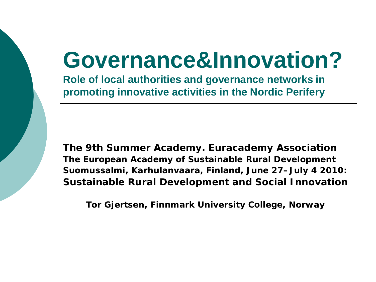## **Governance&Innovation?**

**Role of local authorities and governance networks in promoting innovative activities in the Nordic Perifery** 

**The 9th Summer Academy. Euracademy Association The European Academy of Sustainable Rural Development Suomussalmi, Karhulanvaara, Finland, June 27–July 4 2010: Sustainable Rural Development and Social Innovation**

**Tor Gjertsen, Finnmark University College, Norway**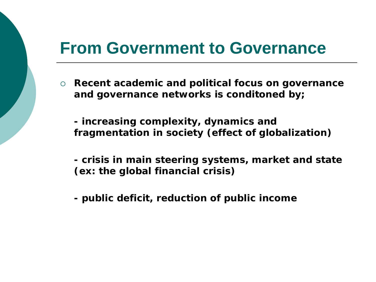#### **From Government to Governance**

 **Recent academic and political focus on governance and governance networks is conditoned by;**

**- increasing complexity, dynamics and fragmentation in society (effect of globalization)**

**- crisis in main steering systems, market and state (ex: the global financial crisis)**

**- public deficit, reduction of public income**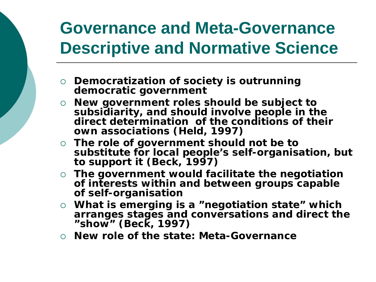## **Governance and Meta-Governance Descriptive and Normative Science**

- **Democratization of society is outrunning democratic government**
- **New government roles should be subject to subsidiarity, and should involve people in the direct determination of the conditions of their own associations (Held, 1997)**
- **The role of government should not be to substitute for local people's self-organisation, but to support it (Beck, 1997)**
- **The government would facilitate the negotiation of interests within and between groups capable of self-organisation**
- **What is emerging is a "negotiation state" which arranges stages and conversations and direct the "show" (Beck, 1997)**
- **New role of the state: Meta-Governance**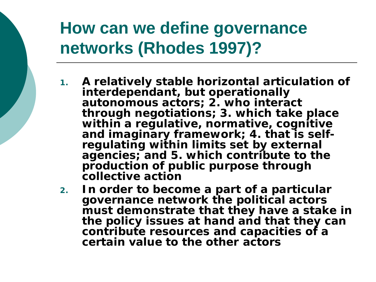#### **How can we define governance networks (Rhodes 1997)?**

- **1. A relatively stable horizontal articulation of interdependant, but operationally autonomous actors; 2. who interact through negotiations; 3. which take place within a regulative, normative, cognitive**  and **inaginary increased** imaginary frameworks in the **requlating within limits set by external agencies; and 5. which contribute to the production of public purpose through collective action**
- **2. In order to become a part of a particular governance network the political actors must demonstrate that they have a stake in the policy issues at hand and that they can contribute resources and capacities of a certain value to the other actors**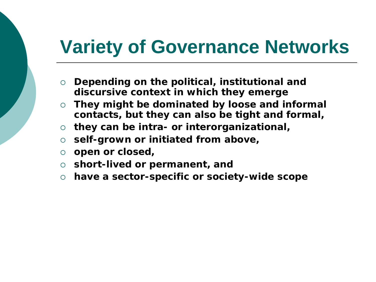## **Variety of Governance Networks**

- **Depending on the political, institutional and discursive context in which they emerge**
- **They might be dominated by loose and informal contacts, but they can also be tight and formal,**
- **they can be intra- or interorganizational,**
- **self-grown or initiated from above,**
- **open or closed,**
- **short-lived or permanent, and**
- **have a sector-specific or society-wide scope**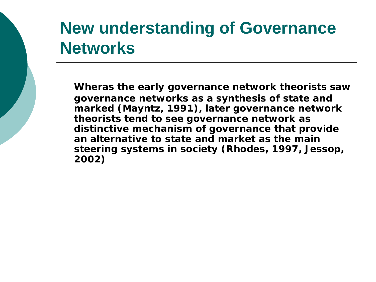#### **New understanding of Governance Networks**

**Wheras the early governance network theorists saw governance networks as a synthesis of state and marked (Mayntz, 1991), later governance network theorists tend to see governance network as distinctive mechanism of governance that provide an alternative to state and market as the main steering systems in society (Rhodes, 1997, Jessop, 2002)**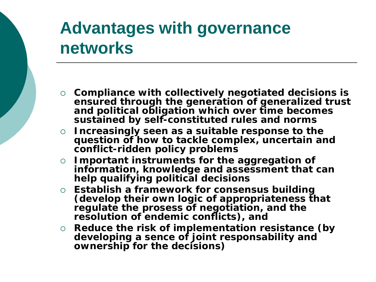#### **Advantages with governance networks**

- **Compliance with collectively negotiated decisions is ensured through the generation of generalized trust and political obligation which over time becomes sustained by self-constituted rules and norms**
- **Increasingly seen as a suitable response to the question of how to tackle complex, uncertain and conflict-ridden policy problems**
- **Important instruments for the aggregation of information, knowledge and assessment that can help qualifying political decisions**
- **Establish a framework for consensus building (develop their own logic of appropriateness that regulate the prosess of negotiation, and the resolution of endemic conflicts), and**
- **Reduce the risk of implementation resistance (by developing a sence of joint responsability and ownership for the decisions)**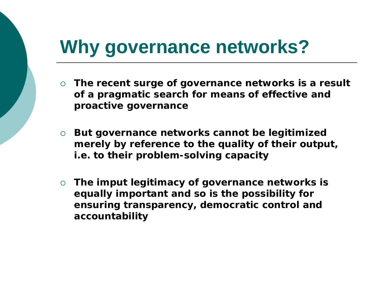## **Why governance networks?**

- **The recent surge of governance networks is a result of a pragmatic search for means of effective and proactive governance**
- **But governance networks cannot be legitimized merely by reference to the quality of their output, i.e. to their problem-solving capacity**
- **The imput legitimacy of governance networks is equally important and so is the possibility for ensuring** *transparency, democratic control and accountability*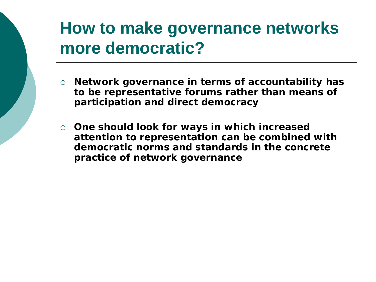#### **How to make governance networks more democratic?**

- **Network governance in terms of accountability has to be representative forums rather than means of participation and direct democracy**
- **One should look for ways in which increased attention to representation can be combined with democratic norms and standards in the concrete practice of network governance**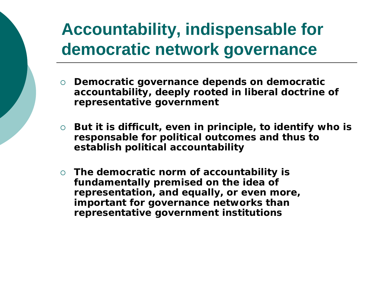## **Accountability, indispensable for democratic network governance**

- **Democratic governance depends on democratic accountability, deeply rooted in liberal doctrine of representative government**
- **But it is difficult, even in principle, to identify who is responsable for political outcomes and thus to establish political accountability**
- **The democratic norm of accountability is fundamentally premised on the idea of representation, and equally, or even more, important for governance networks than representative government institutions**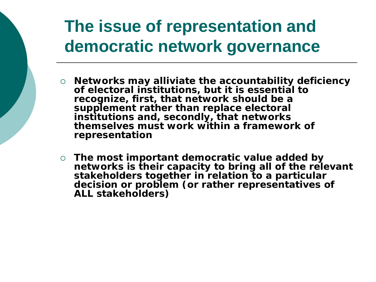## **The issue of representation and democratic network governance**

- **Networks may alliviate the accountability deficiency of electoral institutions, but it is essential to recognize, first, that network should be a supplement rather than replace electoral institutions and, secondly, that networks themselves must work within a framework of representation**
- **The most important democratic value added by networks is their capacity to bring all of the relevant stakeholders together in relation to a particular decision or problem (or rather representatives of ALL stakeholders)**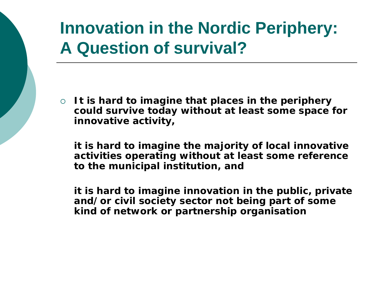## **Innovation in the Nordic Periphery: A Question of survival?**

 **It is hard to imagine that places in the periphery could survive today without at least some space for innovative activity,** 

**it is hard to imagine the majority of local innovative activities operating without at least some reference to the municipal institution, and**

**it is hard to imagine innovation in the public, private and/or civil society sector not being part of some kind of network or partnership organisation**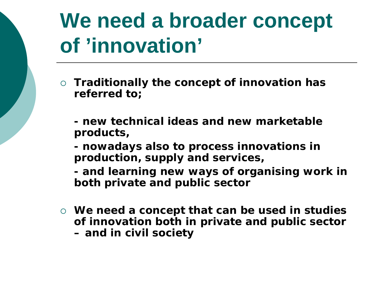## **We need a broader concept of 'innovation'**

- **Traditionally the concept of innovation has referred to;**
	- **- new technical ideas and new marketable products,**
	- **- nowadays also to process innovations in production, supply and services,**
	- **- and learning new ways of organising work in both private and public sector**
- **We need a concept that can be used in studies of innovation both in private and public sector – and in civil society**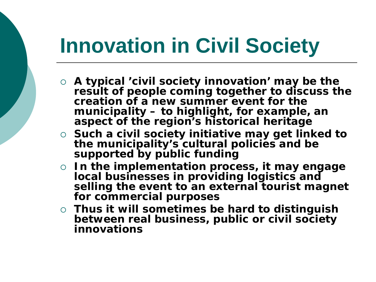## **Innovation in Civil Society**

- **A typical 'civil society innovation' may be the result of people coming together to discuss the creation of a new summer event for the municipality – to highlight, for example, an aspect of the region's historical heritage**
- **Such a civil society initiative may get linked to the municipality's cultural policies and be supported by public funding**
- **In the implementation process, it may engage local businesses in providing logistics and**  selling the event to an external tourist magnet **for commercial purposes**
- **Thus it will sometimes be hard to distinguish between real business, public or civil society innovations**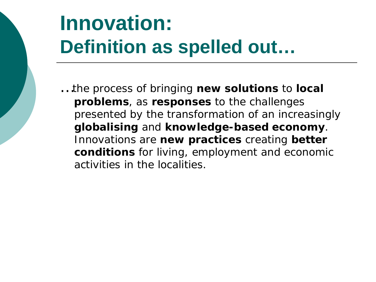## **Innovation: Definition as spelled out…**

…the process of bringing **new solutions** to **local problems**, as **responses** to the challenges presented by the transformation of an increasingly **globalising** and **knowledge-based economy**. Innovations are **new practices** creating **better conditions** for living, employment and economic activities in the localities.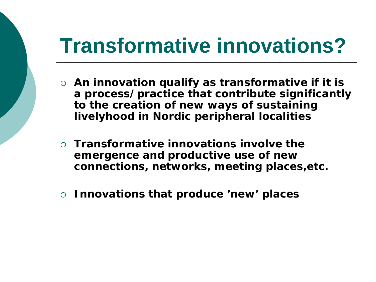## **Transformative innovations?**

- **An innovation qualify as transformative if it is a process/practice that contribute significantly to the creation of new ways of sustaining livelyhood in Nordic peripheral localities**
- **Transformative innovations involve the emergence and productive use of new connections, networks, meeting places,etc.**
- **Innovations that produce 'new' places**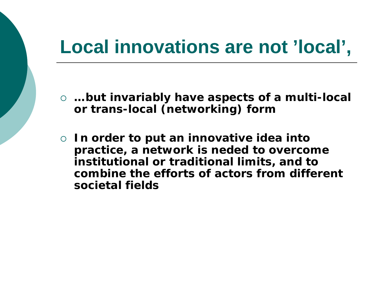## **Local innovations are not 'local',**

- **…but invariably have aspects of a multi-local or trans-local (networking) form**
- **In order to put an innovative idea into practice, a network is neded to overcome institutional or traditional limits, and to combine the efforts of actors from different societal fields**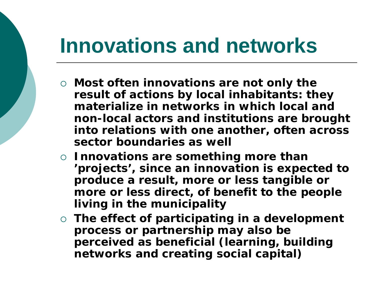## **Innovations and networks**

- **Most often innovations are not only the result of actions by local inhabitants: they materialize in networks in which local and non-local actors and institutions are brought into relations with one another, often across sector boundaries as well**
- **Innovations are something more than 'projects', since an innovation is expected to produce a result, more or less tangible or more or less direct, of benefit to the people living in the municipality**
- **The effect of participating in a development process or partnership may also be perceived as beneficial (learning, building networks and creating social capital)**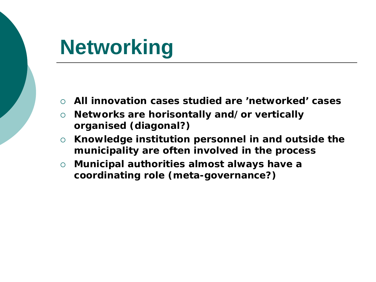## **Networking**

- **All innovation cases studied are 'networked' cases**
- **Networks are horisontally and/or vertically organised (diagonal?)**
- **Knowledge institution personnel in and outside the municipality are often involved in the process**
- **Municipal authorities almost always have a coordinating role (meta-governance?)**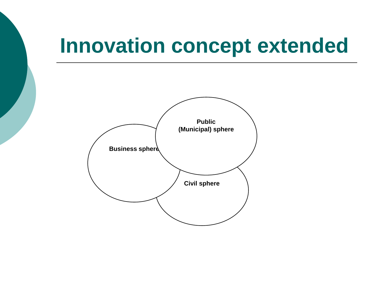## **Innovation concept extended**

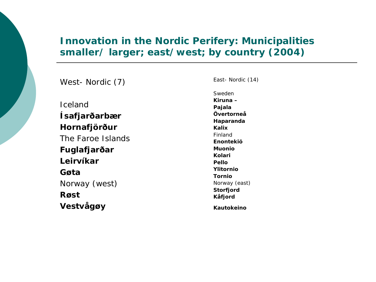#### **Innovation in the Nordic Perifery: Municipalities smaller/ larger; east/west; by country (2004)**

*West- Nordic (7)*

*Iceland* **Ísafjarðarbær Hornafjörður**  *The Faroe Islands* **Fuglafjarðar Leirvíkar Gøta** *Norway (west)* **Røst Vestvågøy**

*Sweden* **Kiruna – Pajala Övertorneå Haparanda Kalix** *Finland* **Enontekiö Muonio Kolari Pello Ylitornio Tornio**  *Norway (east)* **Storfjord Kåfjord**

*East- Nordic (14)*

**Kautokeino**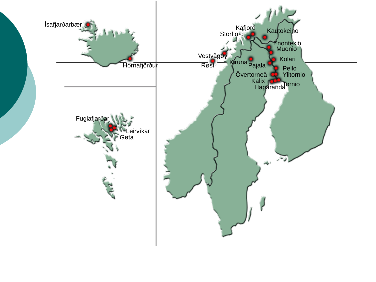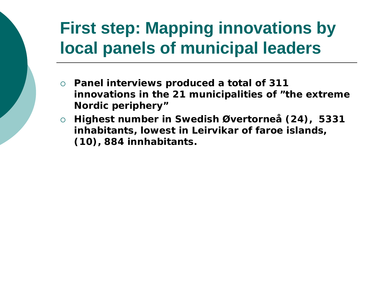## **First step: Mapping innovations by local panels of municipal leaders**

- **Panel interviews produced a total of 311 innovations in the 21 municipalities of "the extreme Nordic periphery"**
- **Highest number in Swedish Øvertorneå (24), 5331 inhabitants, lowest in Leirvikar of faroe islands, (10), 884 innhabitants.**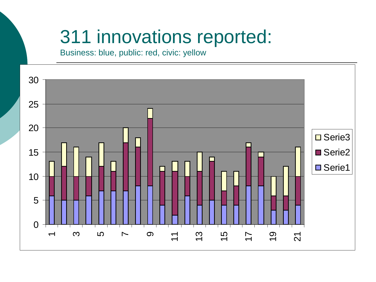## 311 innovations reported:

Business: blue, public: red, civic: yellow

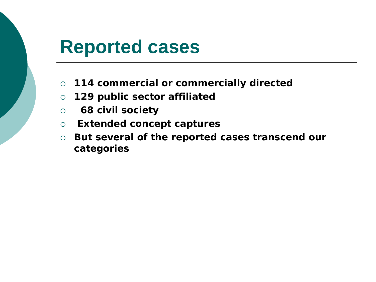#### **Reported cases**

- **114 commercial or commercially directed**
- **129 public sector affiliated**
- **68 civil society**
- **Extended concept captures**
- **But several of the reported cases transcend our categories**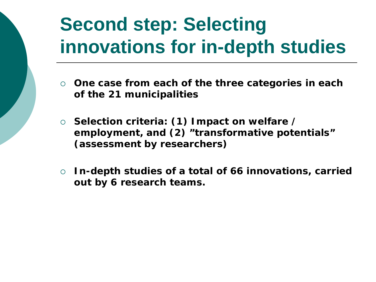## **Second step: Selecting innovations for in-depth studies**

- **One case from each of the three categories in each of the 21 municipalities**
- **Selection criteria: (1) Impact on welfare / employment, and (2) "transformative potentials" (assessment by researchers)**
- **In-depth studies of a total of 66 innovations, carried out by 6 research teams.**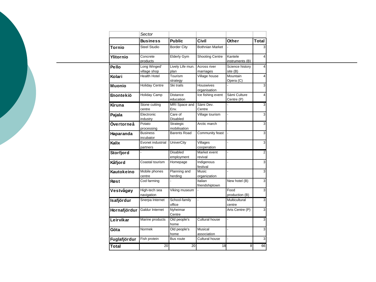|               | Sector                        |                               |                           |                            |                 |
|---------------|-------------------------------|-------------------------------|---------------------------|----------------------------|-----------------|
|               | <b>Business</b>               | <b>Public</b>                 | Civil                     | Other                      | <b>Total</b>    |
| <b>Tornio</b> | <b>Steel Studio</b>           | <b>Border City</b>            | <b>Bothnian Market</b>    |                            | $\vert$ 3       |
| Ylitornio     | Concrete<br>products          | Elderly Gym                   | <b>Shooting Centre</b>    | Kantele<br>instruments (B) | 4               |
| Pello         | Long Winged'                  | Lively Life mun.              | Across river              | Science history            | $\vert 4 \vert$ |
|               | village shop                  | plan                          | marriages                 | site (B)                   |                 |
| Kolari        | <b>Health Hotel</b>           | Tourism<br>strategy           | Village house             | Mountain<br>Opera (C)      | 4               |
| <b>Muonio</b> | <b>Holiday Centre</b>         | Ski trails                    | Houswives<br>organisation |                            | 3 <sup>1</sup>  |
| Enontekiö     | <b>Holiday Camp</b>           | <b>Distance</b><br>education  | Ice fishing event         | Sámi Culture<br>Centre (P) | $\vert$         |
| Kiruna        | Stone cutting<br>centre       | MRI Space and<br>Env.         | Sámi Dev.<br>Centre       |                            | 3 <sup>1</sup>  |
| Pajala        | Electronic<br>industry        | Care of<br>Disabled           | Village tourism           |                            | 3 <sup>1</sup>  |
| Övertorneå    | Potato<br>processing          | Strategic<br>mobilisation     | Arctic march              |                            | 3 <sup>1</sup>  |
| Haparanda     | <b>Business</b><br>incubator  | <b>Barents Road</b>           | Community feast           |                            | $\overline{3}$  |
| Kalix         | Evonet industrial<br>partners | <b>UniverCity</b>             | Villages<br>cooperation   |                            | 3 <sup>1</sup>  |
| Storfjord     |                               | <b>Disabled</b><br>employment | Market event<br>revival   |                            | $\overline{2}$  |
| Kåfjord       | Coastal tourism               | Homepage                      | Indigenous<br>festival    |                            | $\vert$ 3       |
| Kautokeino    | Mobile phones<br>centre       | Planning and<br>herding       | Music<br>organization     |                            | 3 <sup>1</sup>  |
| Røst          | Cod farming                   |                               | Italian<br>friendshiptown | New hotel (B)              | 3 <sup>1</sup>  |
| Vestvågøy     | High-tech sea<br>navigation   | Viking museum                 |                           | Food<br>production (B)     | $\vert$ 3       |
| Isafjördur    | Snerpa Internet               | School-family<br>office       |                           | Multicultural<br>centre    | $\frac{3}{2}$   |
| Hornafjördur  | Galdur Internet               | Nyheimar<br>Centre            |                           | Arts Centre (P)            | 3 <sup>1</sup>  |
| Leirvikar     | Marine products               | Old people's<br>home          | Cultural house            |                            | 3 <sup>1</sup>  |
| Göta          | Normek                        | Old people's<br>home          | Musical<br>association    |                            | $\overline{3}$  |
| Fuglafjördur  | Fish protein                  | Bus route                     | <b>Cultural house</b>     |                            | 3 <sup>1</sup>  |
| <b>Total</b>  | 20                            | 20                            | 18                        | 8 <sup>1</sup>             | 66              |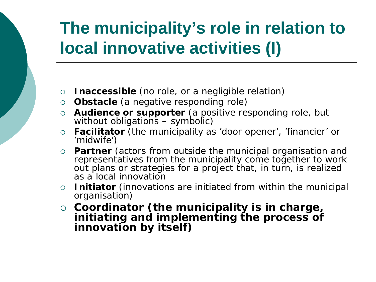## **The municipality's role in relation to local innovative activities (I)**

- **Inaccessible** (no role, or a negligible relation)
- **Obstacle** (a negative responding role)
- **Audience or supporter** (a positive responding role, but without obligations – symbolic)
- **Facilitator** (the municipality as 'door opener', 'financier' or 'midwife')
- **Partner** (actors from outside the municipal organisation and representatives from the municipality come together to work out plans or strategies for a project that, in turn, is realized as a local innovation
- **Initiator** (innovations are initiated from within the municipal organisation)
- **Coordinator (the municipality is in charge, initiating and implementing the process of innovation by itself)**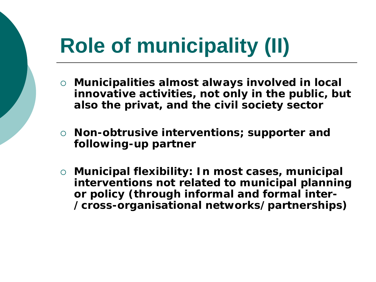# **Role of municipality (II)**

- **Municipalities almost always involved in local innovative activities, not only in the public, but also the privat, and the civil society sector**
- **Non-obtrusive interventions; supporter and following-up partner**
- **Municipal flexibility: In most cases, municipal interventions not related to municipal planning or policy (through informal and formal inter- /cross-organisational networks/partnerships)**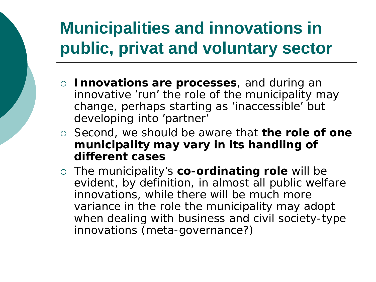## **Municipalities and innovations in public, privat and voluntary sector**

- **Innovations are processes**, and during an innovative 'run' the role of the municipality may change, perhaps starting as 'inaccessible' but developing into 'partner'
- Second, we should be aware that **the role of one municipality may vary in its handling of different cases**
- The municipality's **co-ordinating role** will be evident, by definition, in almost all public welfare innovations, while there will be much more variance in the role the municipality may adopt when dealing with business and civil society-type innovations (meta-governance?)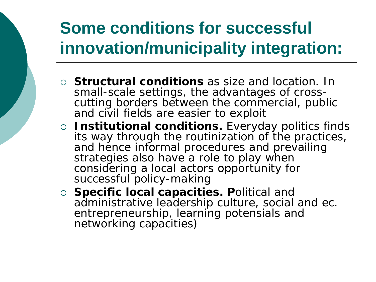## **Some conditions for successful innovation/municipality integration:**

- **Structural conditions** as size and location. In cutting borders between the commercial, public and civil fields are easier to exploit
- **Institutional conditions.** Everyday politics finds its way through the routinization of the practices, and hence informal procedures and prevailing strategies also have a role to play when considering a local actors opportunity for successful policy-making
- **Specific local capacities. P**olitical and administrative leadership culture, social and ec. entrepreneurship, learning potensials and networking capacities)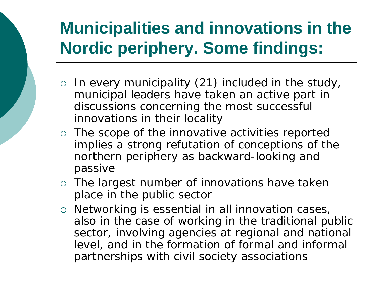## **Municipalities and innovations in the Nordic periphery. Some findings:**

- $\circ$  In every municipality (21) included in the study, municipal leaders have taken an active part in discussions concerning the most successful innovations in their locality
- The scope of the innovative activities reported implies a strong refutation of conceptions of the northern periphery as backward-looking and passive
- The largest number of innovations have taken place in the public sector
- $\circ$  Networking is essential in all innovation cases, also in the case of working in the traditional public sector, involving agencies at regional and national level, and in the formation of formal and informal partnerships with civil society associations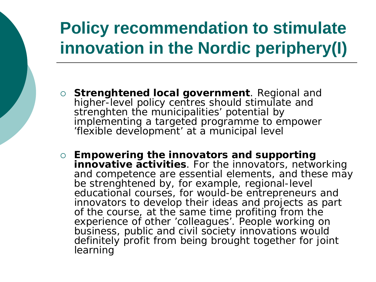## **Policy recommendation to stimulate innovation in the Nordic periphery(I)**

- **Strenghtened local government**. Regional and higher-level policy centres should stimulate and strenghten the municipalities' potential by implementing a targeted programme to empower 'flexible development' at a municipal level
- **Empowering the innovators and supporting innovative activities**. For the innovators, networking and competence are essential elements, and these may be strenghtened by, for example, regional-level educational courses, for would-be entrepreneurs and innovators to develop their ideas and projects as part of the course, at the same time profiting from the experience of other 'colleagues'. People working on business, public and civil society innovations would definitely profit from being brought together for joint learning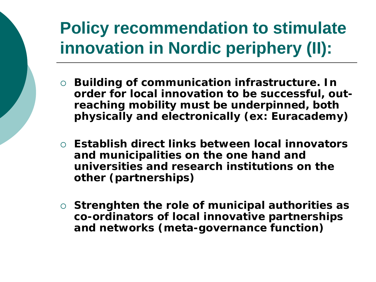## **Policy recommendation to stimulate innovation in Nordic periphery (II):**

- **Building of communication infrastructure. In order for local innovation to be successful, outreaching mobility must be underpinned, both physically and electronically (ex: Euracademy)**
- **Establish direct links between local innovators and municipalities on the one hand and universities and research institutions on the other (partnerships)**
- **Strenghten the role of municipal authorities as co-ordinators of local innovative partnerships and networks (meta-governance function)**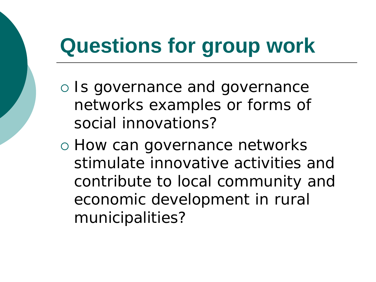## **Questions for group work**

- Is governance and governance networks examples or forms of social innovations?
- o How can governance networks stimulate innovative activities and contribute to local community and economic development in rural municipalities?